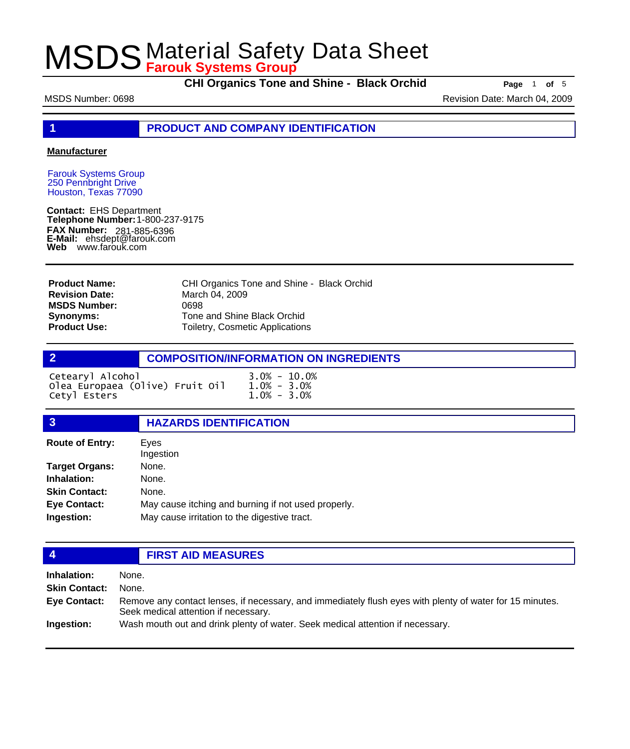**CHI Organics Tone and Shine - Black Orchid Page** <sup>1</sup> **of** <sup>5</sup>

MSDS Number: 0698 **Revision Date: March 04, 2009** Revision Date: March 04, 2009

**1 PRODUCT AND COMPANY IDENTIFICATION**

### **Manufacturer**

Farouk Systems Group 250 Pennbright Drive Houston, Texas 77090

**Contact:** EHS Department **Telephone Number:** 1-800-237-9175 **FAX Number: FAX Number:** 281-885-6396<br>**E-Mail:** ehsdept@farouk.com **Web** www.farouk.com

CHI Organics Tone and Shine - Black Orchid March 04, 2009 0698 Tone and Shine Black Orchid Toiletry, Cosmetic Applications **Product Name: Revision Date: MSDS Number: Synonyms: Product Use:**

# **2 COMPOSITION/INFORMATION ON INGREDIENTS**

| Cetearyl Alcohol                | $3.0\% - 10.0\%$ |
|---------------------------------|------------------|
| Olea Europaea (Olive) Fruit Oil | $1.0\% - 3.0\%$  |
| Cetyl Esters                    | $1.0\% - 3.0\%$  |

## **3 HAZARDS IDENTIFICATION**

| <b>Route of Entry:</b> | Eves<br>Ingestion                                   |
|------------------------|-----------------------------------------------------|
| <b>Target Organs:</b>  | None.                                               |
| Inhalation:            | None.                                               |
| <b>Skin Contact:</b>   | None.                                               |
| <b>Eye Contact:</b>    | May cause itching and burning if not used properly. |
| Ingestion:             | May cause irritation to the digestive tract.        |

## **4 FIRST AID MEASURES**

**Inhalation:** None. **Skin Contact:** None. Remove any contact lenses, if necessary, and immediately flush eyes with plenty of water for 15 minutes. Seek medical attention if necessary. **Eye Contact: Ingestion:** Wash mouth out and drink plenty of water. Seek medical attention if necessary.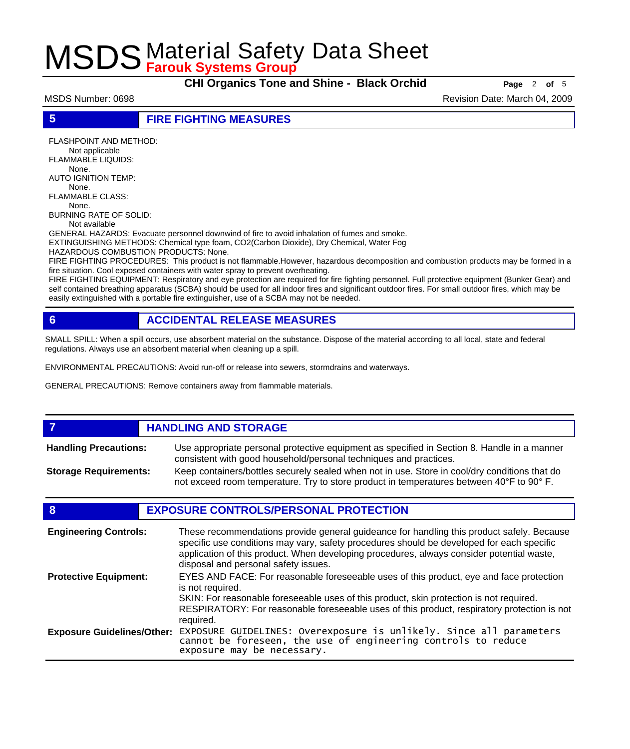**CHI Organics Tone and Shine - Black Orchid Page** <sup>2</sup> **of** <sup>5</sup>

MSDS Number: 0698 **Revision Date: March 04, 2009** Revision Date: March 04, 2009

**5 FIRE FIGHTING MEASURES**

FLASHPOINT AND METHOD: Not applicable FLAMMABLE LIQUIDS: None. AUTO IGNITION TEMP: None. FLAMMABLE CLASS: None. BURNING RATE OF SOLID:

Not available

GENERAL HAZARDS: Evacuate personnel downwind of fire to avoid inhalation of fumes and smoke. EXTINGUISHING METHODS: Chemical type foam, CO2(Carbon Dioxide), Dry Chemical, Water Fog

HAZARDOUS COMBUSTION PRODUCTS: None.

FIRE FIGHTING PROCEDURES: This product is not flammable.However, hazardous decomposition and combustion products may be formed in a fire situation. Cool exposed containers with water spray to prevent overheating.

FIRE FIGHTING EQUIPMENT: Respiratory and eye protection are required for fire fighting personnel. Full protective equipment (Bunker Gear) and self contained breathing apparatus (SCBA) should be used for all indoor fires and significant outdoor fires. For small outdoor fires, which may be easily extinguished with a portable fire extinguisher, use of a SCBA may not be needed.

# **6 ACCIDENTAL RELEASE MEASURES**

SMALL SPILL: When a spill occurs, use absorbent material on the substance. Dispose of the material according to all local, state and federal regulations. Always use an absorbent material when cleaning up a spill.

ENVIRONMENTAL PRECAUTIONS: Avoid run-off or release into sewers, stormdrains and waterways.

GENERAL PRECAUTIONS: Remove containers away from flammable materials.

### *HANDLING AND STORAGE* Use appropriate personal protective equipment as specified in Section 8. Handle in a manner consistent with good household/personal techniques and practices. **Handling Precautions:** Keep containers/bottles securely sealed when not in use. Store in cool/dry conditions that do not exceed room temperature. Try to store product in temperatures between 40°F to 90° F. **Storage Requirements:**

# **8 EXPOSURE CONTROLS/PERSONAL PROTECTION**

| <b>Engineering Controls:</b>      | These recommendations provide general guideance for handling this product safely. Because<br>specific use conditions may vary, safety procedures should be developed for each specific<br>application of this product. When developing procedures, always consider potential waste,<br>disposal and personal safety issues. |
|-----------------------------------|-----------------------------------------------------------------------------------------------------------------------------------------------------------------------------------------------------------------------------------------------------------------------------------------------------------------------------|
| <b>Protective Equipment:</b>      | EYES AND FACE: For reasonable foreseeable uses of this product, eye and face protection<br>is not required.<br>SKIN: For reasonable foreseeable uses of this product, skin protection is not required.<br>RESPIRATORY: For reasonable foreseeable uses of this product, respiratory protection is not<br>required.          |
| <b>Exposure Guidelines/Other:</b> | EXPOSURE GUIDELINES: Overexposure is unlikely. Since all parameters cannot be foreseen, the use of engineering controls to reduce<br>exposure may be necessary.                                                                                                                                                             |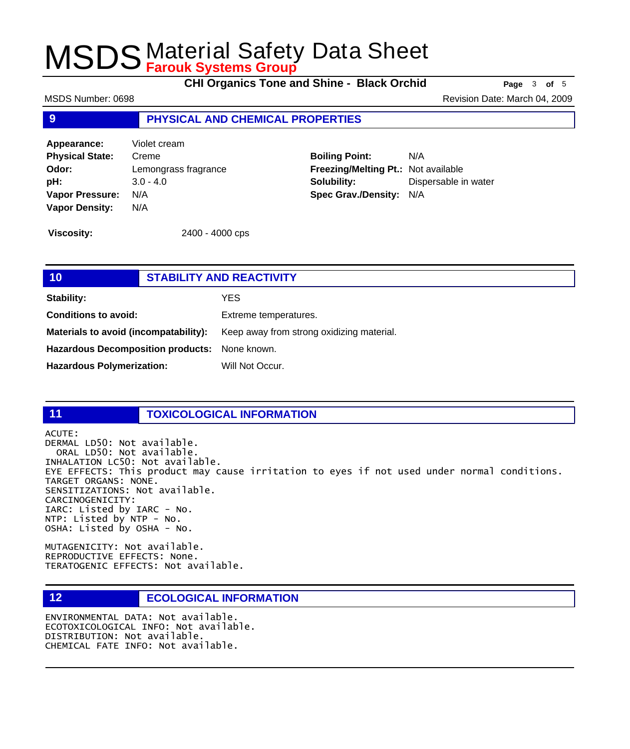**CHI Organics Tone and Shine - Black Orchid Page** <sup>3</sup> **of** <sup>5</sup>

MSDS Number: 0698 **Revision Date: March 04, 2009** Revision Date: March 04, 2009

## **9 PHYSICAL AND CHEMICAL PROPERTIES**

**Appearance:** Violet cream **Physical State:** Creme **Odor:** Lemongrass fragrance **pH:** 3.0 - 4.0 **Vapor Pressure:** N/A **Vapor Density:** N/A

**Boiling Point:** N/A **Freezing/Melting Pt.:** Not available **Solubility:** Dispersable in water **Spec Grav./Density:** N/A

**Viscosity:** 2400 - 4000 cps

# **10 STABILITY AND REACTIVITY Stability:** YES **Conditions to avoid:** Extreme temperatures. Materials to avoid (incompatability): Keep away from strong oxidizing material. **Hazardous Decomposition products:** None known. Hazardous Polymerization: Will Not Occur.

### **11 TOXICOLOGICAL INFORMATION**

ACUTE:

DERMAL LD50: Not available. ORAL LD50: Not available. INHALATION LC50: Not available. EYE EFFECTS: This product may cause irritation to eyes if not used under normal conditions. TARGET ORGANS: NONE. SENSITIZATIONS: Not available. CARCINOGENICITY: IARC: Listed by IARC - No. NTP: Listed by NTP - No. OSHA: Listed by OSHA - No.

MUTAGENICITY: Not available. REPRODUCTIVE EFFECTS: None. TERATOGENIC EFFECTS: Not available.

# **12 ECOLOGICAL INFORMATION**

ENVIRONMENTAL DATA: Not available. ECOTOXICOLOGICAL INFO: Not available. DISTRIBUTION: Not available. CHEMICAL FATE INFO: Not available.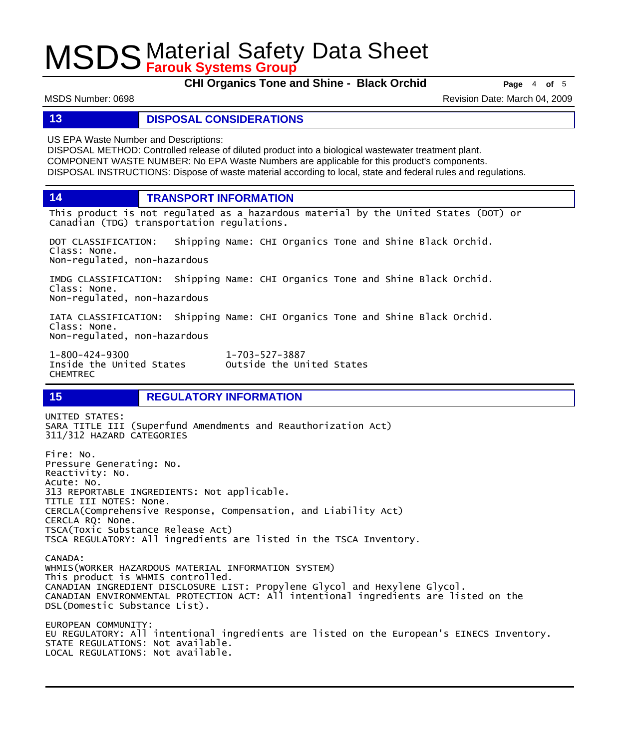**CHI Organics Tone and Shine - Black Orchid Page** <sup>4</sup> **of** <sup>5</sup>

MSDS Number: 0698 **Revision Date: March 04, 2009** Revision Date: March 04, 2009

## **13 DISPOSAL CONSIDERATIONS**

US EPA Waste Number and Descriptions:

DISPOSAL METHOD: Controlled release of diluted product into a biological wastewater treatment plant. COMPONENT WASTE NUMBER: No EPA Waste Numbers are applicable for this product's components. DISPOSAL INSTRUCTIONS: Dispose of waste material according to local, state and federal rules and regulations.

**14 TRANSPORT INFORMATION**

This product is not regulated as a hazardous material by the United States (DOT) or Canadian (TDG) transportation regulations.

DOT CLASSIFICATION: Shipping Name: CHI Organics Tone and Shine Black Orchid. Class: None. Non-regulated, non-hazardous

IMDG CLASSIFICATION: Shipping Name: CHI Organics Tone and Shine Black Orchid. Class: None. Non-regulated, non-hazardous

IATA CLASSIFICATION: Shipping Name: CHI Organics Tone and Shine Black Orchid. Class: None. Non-regulated, non-hazardous

1-800-424-9300 1-703-527-3887 CHEMTREC

Outside the United States

# **15 REGULATORY INFORMATION**

UNITED STATES: SARA TITLE III (Superfund Amendments and Reauthorization Act) 311/312 HAZARD CATEGORIES Fire: No. Pressure Generating: No. Reactivity: No. Acute: No. 313 REPORTABLE INGREDIENTS: Not applicable. TITLE III NOTES: None. CERCLA(Comprehensive Response, Compensation, and Liability Act) CERCLA RQ: None. TSCA(Toxic Substance Release Act) TSCA REGULATORY: All ingredients are listed in the TSCA Inventory. CANADA: WHMIS(WORKER HAZARDOUS MATERIAL INFORMATION SYSTEM) This product is WHMIS controlled. CANADIAN INGREDIENT DISCLOSURE LIST: Propylene Glycol and Hexylene Glycol. CANADIAN ENVIRONMENTAL PROTECTION ACT: All intentional ingredients are listed on the DSL(Domestic Substance List). EUROPEAN COMMUNITY: EU REGULATORY: All intentional ingredients are listed on the European's EINECS Inventory. STATE REGULATIONS: Not available. LOCAL REGULATIONS: Not available.